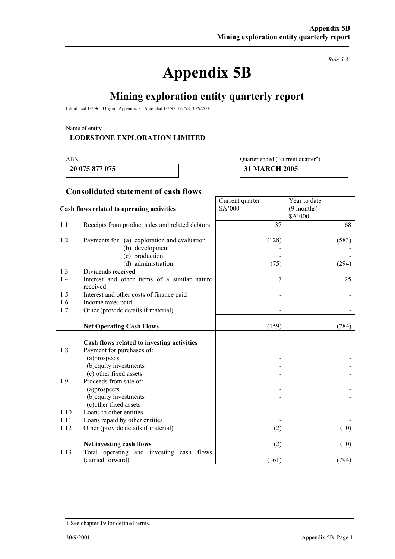# **Appendix 5B**

*Rule 5.3* 

## **Mining exploration entity quarterly report**

Introduced 1/7/96. Origin: Appendix 8. Amended 1/7/97, 1/7/98, 30/9/2001.

Name of entity

#### **LODESTONE EXPLORATION LIMITED**

#### ABN Quarter ended ("current quarter")

Year to date (9 months)

 **20 075 877 075 31 MARCH 2005** 

Current quarter \$A'000

#### **Consolidated statement of cash flows**

#### **Cash flows related to operating activities**

|      |                                                                         |                | \$A'000 |
|------|-------------------------------------------------------------------------|----------------|---------|
| 1.1  | Receipts from product sales and related debtors                         | 37             | 68      |
| 1.2  | Payments for (a) exploration and evaluation                             | (128)          | (583)   |
|      | (b) development                                                         |                |         |
|      | (c) production                                                          |                |         |
|      | (d) administration                                                      | (75)           | (294)   |
| 1.3  | Dividends received                                                      |                |         |
| 1.4  | Interest and other items of a similar nature<br>received                | 7              | 25      |
| 1.5  | Interest and other costs of finance paid                                |                |         |
| 1.6  | Income taxes paid                                                       |                |         |
| 1.7  | Other (provide details if material)                                     |                |         |
|      |                                                                         |                |         |
|      | <b>Net Operating Cash Flows</b>                                         | (159)          | (784)   |
| 1.8  | Cash flows related to investing activities<br>Payment for purchases of: |                |         |
|      | (a)prospects                                                            | $\overline{a}$ |         |
|      | (b) equity investments                                                  |                |         |
|      | (c) other fixed assets                                                  |                |         |
| 1.9  | Proceeds from sale of:                                                  |                |         |
|      | (a)prospects                                                            |                |         |
|      | (b) equity investments                                                  |                |         |
|      | (c) other fixed assets                                                  |                |         |
| 1.10 | Loans to other entities                                                 |                |         |
| 1.11 | Loans repaid by other entities                                          |                |         |
| 1.12 | Other (provide details if material)                                     | (2)            | (10)    |
|      | Net investing cash flows                                                | (2)            | (10)    |
| 1.13 | Total operating and investing cash flows                                |                |         |
|      | (carried forward)                                                       | (161)          | (794)   |

<sup>+</sup> See chapter 19 for defined terms.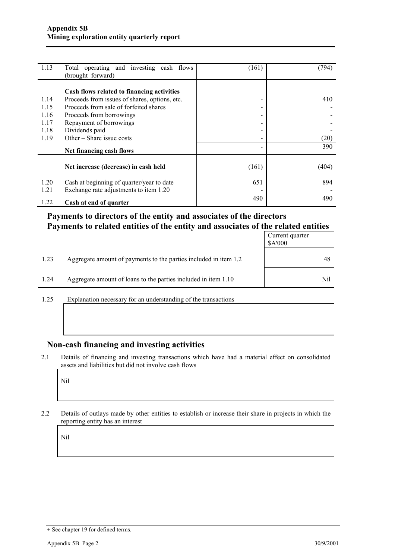| 1.13                 | Total operating and investing cash flows<br>(brought forward)                                                                                                     | (161)                         | 794   |
|----------------------|-------------------------------------------------------------------------------------------------------------------------------------------------------------------|-------------------------------|-------|
| 1.14<br>1.15<br>1.16 | Cash flows related to financing activities<br>Proceeds from issues of shares, options, etc.<br>Proceeds from sale of forfeited shares<br>Proceeds from borrowings | $\overline{\phantom{a}}$<br>- | 410   |
| 1.17<br>1.18<br>1.19 | Repayment of borrowings<br>Dividends paid<br>Other – Share issue costs                                                                                            | $\overline{\phantom{0}}$      | (20)  |
|                      | Net financing cash flows                                                                                                                                          |                               | 390   |
|                      | Net increase (decrease) in cash held                                                                                                                              | (161)                         | (404) |
| 1.20<br>1.21         | Cash at beginning of quarter/year to date<br>Exchange rate adjustments to item 1.20                                                                               | 651                           | 894   |
| 1.22                 | Cash at end of quarter                                                                                                                                            | 490                           | 490   |

#### **Payments to directors of the entity and associates of the directors Payments to related entities of the entity and associates of the related entities**

|      |                                                                  | Current quarter<br>\$A'000 |
|------|------------------------------------------------------------------|----------------------------|
| 1.23 | Aggregate amount of payments to the parties included in item 1.2 | 48                         |
| 1.24 | Aggregate amount of loans to the parties included in item 1.10   | Nil                        |

1.25 Explanation necessary for an understanding of the transactions

#### **Non-cash financing and investing activities**

2.1 Details of financing and investing transactions which have had a material effect on consolidated assets and liabilities but did not involve cash flows

Nil

2.2 Details of outlays made by other entities to establish or increase their share in projects in which the reporting entity has an interest

Nil

<sup>+</sup> See chapter 19 for defined terms.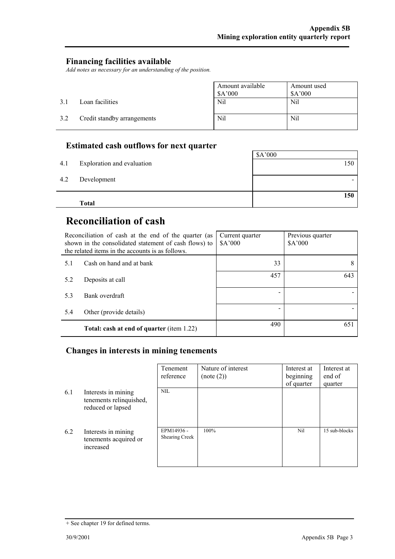#### **Financing facilities available**

*Add notes as necessary for an understanding of the position.* 

|     |                             | Amount available<br>\$A'000 | Amount used<br>A'000 |
|-----|-----------------------------|-----------------------------|----------------------|
| 3.1 | Loan facilities             | Nil                         | Nil                  |
| 3.2 | Credit standby arrangements | Nil                         | Nil                  |

### **Estimated cash outflows for next quarter**

| 4.1 | Exploration and evaluation | \$A'000<br>150 |
|-----|----------------------------|----------------|
|     |                            |                |
| 4.2 | Development                |                |
|     |                            | 150            |
|     | <b>Total</b>               |                |

## **Reconciliation of cash**

| Reconciliation of cash at the end of the quarter (as<br>shown in the consolidated statement of cash flows) to<br>the related items in the accounts is as follows. |                                                  | Current quarter<br>\$A'000 | Previous quarter<br>\$A'000 |
|-------------------------------------------------------------------------------------------------------------------------------------------------------------------|--------------------------------------------------|----------------------------|-----------------------------|
| 5.1                                                                                                                                                               | Cash on hand and at bank                         | 33                         | 8                           |
| 5.2                                                                                                                                                               | Deposits at call                                 | 457                        | 643                         |
| 5.3                                                                                                                                                               | Bank overdraft                                   |                            |                             |
| 5.4                                                                                                                                                               | Other (provide details)                          |                            |                             |
|                                                                                                                                                                   | <b>Total: cash at end of quarter (item 1.22)</b> | 490                        | 651                         |

#### **Changes in interests in mining tenements**

|     |                                                                     | Tenement<br>reference        | Nature of interest<br>(note (2)) | Interest at<br>beginning<br>of quarter | Interest at<br>end of<br>quarter |
|-----|---------------------------------------------------------------------|------------------------------|----------------------------------|----------------------------------------|----------------------------------|
| 6.1 | Interests in mining<br>tenements relinquished,<br>reduced or lapsed | NIL.                         |                                  |                                        |                                  |
| 6.2 | Interests in mining<br>tenements acquired or<br>increased           | EPM14936 -<br>Shearing Creek | $100\%$                          | Nil                                    | 15 sub-blocks                    |

<sup>+</sup> See chapter 19 for defined terms.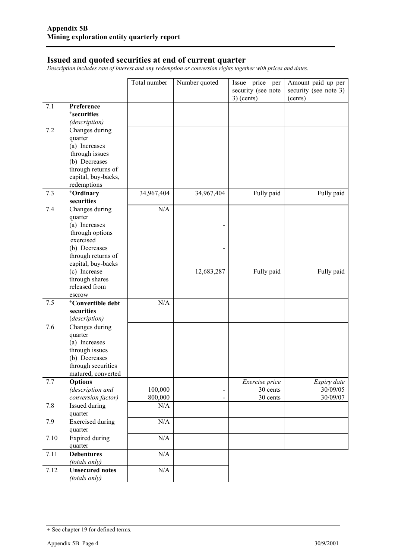#### **Issued and quoted securities at end of current quarter**

*Description includes rate of interest and any redemption or conversion rights together with prices and dates.* 

|      |                                         | Total number | Number quoted            | Issue price per    | Amount paid up per    |
|------|-----------------------------------------|--------------|--------------------------|--------------------|-----------------------|
|      |                                         |              |                          | security (see note | security (see note 3) |
|      |                                         |              |                          | $3)$ (cents)       | (cents)               |
| 7.1  | Preference                              |              |                          |                    |                       |
|      | <sup>+</sup> securities                 |              |                          |                    |                       |
|      | (description)                           |              |                          |                    |                       |
| 7.2  | Changes during                          |              |                          |                    |                       |
|      | quarter                                 |              |                          |                    |                       |
|      | (a) Increases<br>through issues         |              |                          |                    |                       |
|      | (b) Decreases                           |              |                          |                    |                       |
|      | through returns of                      |              |                          |                    |                       |
|      | capital, buy-backs,                     |              |                          |                    |                       |
|      | redemptions                             |              |                          |                    |                       |
| 7.3  | +Ordinary                               | 34,967,404   | 34,967,404               | Fully paid         | Fully paid            |
|      | securities                              |              |                          |                    |                       |
| 7.4  | Changes during                          | N/A          |                          |                    |                       |
|      | quarter                                 |              |                          |                    |                       |
|      | (a) Increases                           |              |                          |                    |                       |
|      | through options                         |              |                          |                    |                       |
|      | exercised                               |              |                          |                    |                       |
|      | (b) Decreases<br>through returns of     |              |                          |                    |                       |
|      | capital, buy-backs                      |              |                          |                    |                       |
|      | (c) Increase                            |              | 12,683,287               | Fully paid         | Fully paid            |
|      | through shares                          |              |                          |                    |                       |
|      | released from                           |              |                          |                    |                       |
|      | escrow                                  |              |                          |                    |                       |
| 7.5  | <sup>+</sup> Convertible debt           | N/A          |                          |                    |                       |
|      | securities                              |              |                          |                    |                       |
|      | (description)                           |              |                          |                    |                       |
| 7.6  | Changes during                          |              |                          |                    |                       |
|      | quarter                                 |              |                          |                    |                       |
|      | (a) Increases<br>through issues         |              |                          |                    |                       |
|      | (b) Decreases                           |              |                          |                    |                       |
|      | through securities                      |              |                          |                    |                       |
|      | matured, converted                      |              |                          |                    |                       |
| 7.7  | <b>Options</b>                          |              |                          | Exercise price     | Expiry date           |
|      | (description and                        | 100,000      |                          | 30 cents           | 30/09/05              |
|      | conversion factor)                      | 800,000      | $\overline{\phantom{a}}$ | 30 cents           | 30/09/07              |
| 7.8  | Issued during                           | N/A          |                          |                    |                       |
|      | quarter                                 |              |                          |                    |                       |
| 7.9  | <b>Exercised</b> during<br>quarter      | $\rm N/A$    |                          |                    |                       |
| 7.10 | <b>Expired during</b>                   | N/A          |                          |                    |                       |
|      | quarter                                 |              |                          |                    |                       |
| 7.11 | <b>Debentures</b>                       | $\rm N/A$    |                          |                    |                       |
| 7.12 | (totals only)<br><b>Unsecured notes</b> | $\rm N/A$    |                          |                    |                       |
|      | (totals only)                           |              |                          |                    |                       |

<sup>+</sup> See chapter 19 for defined terms.